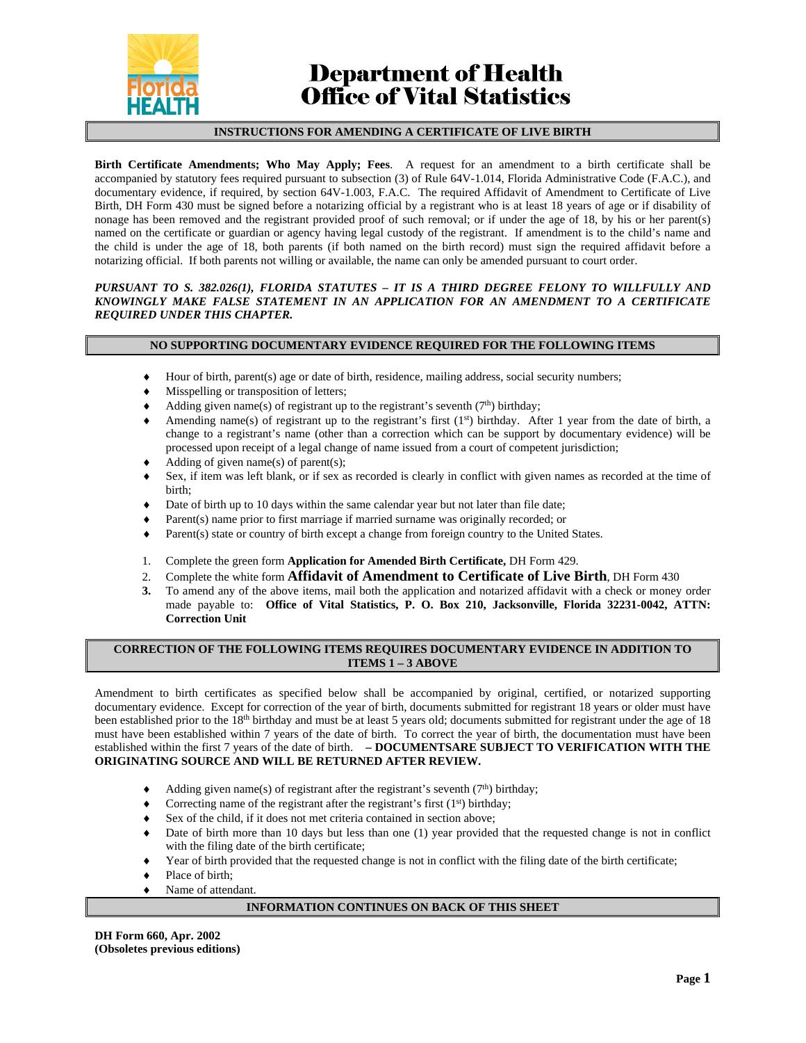

# **Department of Health<br>Office of Vital Statistics**

### **INSTRUCTIONS FOR AMENDING A CERTIFICATE OF LIVE BIRTH**

**Birth Certificate Amendments; Who May Apply; Fees**. A request for an amendment to a birth certificate shall be accompanied by statutory fees required pursuant to subsection (3) of Rule 64V-1.014, Florida Administrative Code (F.A.C.), and documentary evidence, if required, by section 64V-1.003, F.A.C. The required Affidavit of Amendment to Certificate of Live Birth, DH Form 430 must be signed before a notarizing official by a registrant who is at least 18 years of age or if disability of nonage has been removed and the registrant provided proof of such removal; or if under the age of 18, by his or her parent(s) named on the certificate or guardian or agency having legal custody of the registrant. If amendment is to the child's name and the child is under the age of 18, both parents (if both named on the birth record) must sign the required affidavit before a notarizing official. If both parents not willing or available, the name can only be amended pursuant to court order.

#### *PURSUANT TO S. 382.026(1), FLORIDA STATUTES – IT IS A THIRD DEGREE FELONY TO WILLFULLY AND KNOWINGLY MAKE FALSE STATEMENT IN AN APPLICATION FOR AN AMENDMENT TO A CERTIFICATE REQUIRED UNDER THIS CHAPTER.*

### **NO SUPPORTING DOCUMENTARY EVIDENCE REQUIRED FOR THE FOLLOWING ITEMS**

- Hour of birth, parent(s) age or date of birth, residence, mailing address, social security numbers;
- Misspelling or transposition of letters;
- Adding given name(s) of registrant up to the registrant's seventh  $(7<sup>th</sup>)$  birthday;
- Amending name(s) of registrant up to the registrant's first  $(1<sup>st</sup>)$  birthday. After 1 year from the date of birth, a change to a registrant's name (other than a correction which can be support by documentary evidence) will be processed upon receipt of a legal change of name issued from a court of competent jurisdiction;
- Adding of given name(s) of parent(s);
- Sex, if item was left blank, or if sex as recorded is clearly in conflict with given names as recorded at the time of birth;
- Date of birth up to 10 days within the same calendar year but not later than file date;
- Parent(s) name prior to first marriage if married surname was originally recorded; or
- Parent(s) state or country of birth except a change from foreign country to the United States.
- 1. Complete the green form **Application for Amended Birth Certificate,** DH Form 429.
- 
- 2. Complete the white form **Affidavit of Amendment to Certificate of Live Birth**, DH Form 430<br>3. To amend any of the above items, mail both the application and notarized affidavit with a check or money **3.** To amend any of the above items, mail both the application and notarized affidavit with a check or money order made payable to: **Office of Vital Statistics, P. O. Box 210, Jacksonville, Florida 32231-0042, ATTN: Correction Unit**

# **CORRECTION OF THE FOLLOWING ITEMS REQUIRES DOCUMENTARY EVIDENCE IN ADDITION TO ITEMS 1 – 3 ABOVE**

Amendment to birth certificates as specified below shall be accompanied by original, certified, or notarized supporting documentary evidence. Except for correction of the year of birth, documents submitted for registrant 18 years or older must have been established prior to the 18<sup>th</sup> birthday and must be at least 5 years old; documents submitted for registrant under the age of 18 must have been established within 7 years of the date of birth. To correct the year of birth, the documentation must have been established within the first 7 years of the date of birth. **– DOCUMENTSARE SUBJECT TO VERIFICATION WITH THE ORIGINATING SOURCE AND WILL BE RETURNED AFTER REVIEW.**

- Adding given name(s) of registrant after the registrant's seventh  $(7<sup>th</sup>)$  birthday;
- Correcting name of the registrant after the registrant's first  $(1<sup>st</sup>)$  birthday;
- Sex of the child, if it does not met criteria contained in section above;
- Date of birth more than 10 days but less than one (1) year provided that the requested change is not in conflict with the filing date of the birth certificate;
- Year of birth provided that the requested change is not in conflict with the filing date of the birth certificate;
- Place of birth;
- Name of attendant.

## **INFORMATION CONTINUES ON BACK OF THIS SHEET**

**DH Form 660, Apr. 2002 (Obsoletes previous editions)**